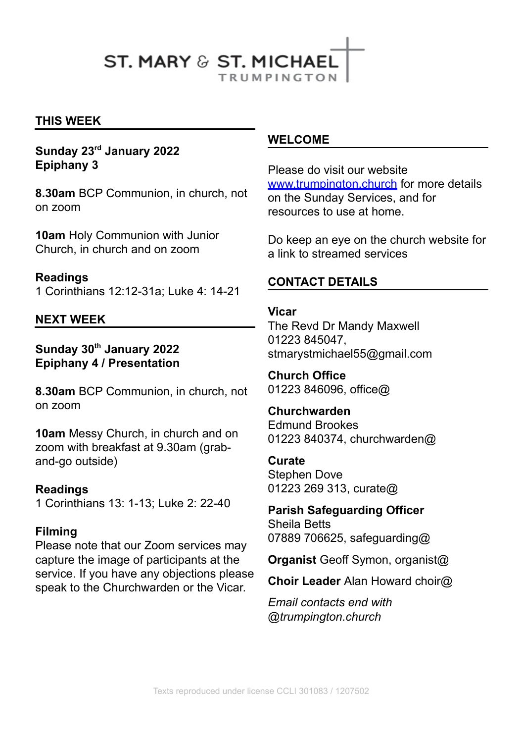## **ST. MARY & ST. MICHAFI TRUMPINGTON**

**THIS WEEK**

#### **Sunday 23 rd January 2022 Epiphany 3**

**8.30am** BCP Communion, in church, not on zoom

**10am** Holy Communion with Junior Church, in church and on zoom

**Readings** 1 Corinthians 12:12-31a; Luke 4: 14-21

#### **NEXT WEEK**

#### **Sunday 30 th January 2022 Epiphany 4 / Presentation**

**8.30am** BCP Communion, in church, not on zoom

**10am** Messy Church, in church and on zoom with breakfast at 9.30am (graband-go outside)

#### **Readings**

1 Corinthians 13: 1-13; Luke 2: 22-40

#### **Filming**

Please note that our Zoom services may capture the image of participants at the service. If you have any objections please speak to the Churchwarden or the Vicar.

#### **WELCOME**

Please do visit our website [www.trumpington.church](http://www.trumpington.church) for more details on the Sunday Services, and for resources to use at home.

Do keep an eye on the church website for a link to streamed services

#### **CONTACT DETAILS**

**Vicar** The Revd Dr Mandy Maxwell 01223 845047, stmarystmichael55@gmail.com

**Church Office** 01223 846096, office@

#### **Churchwarden**

Edmund Brookes 01223 840374, churchwarden@

#### **Curate**

Stephen Dove 01223 269 313, curate@

**Parish Safeguarding Officer** Sheila Betts 07889 706625, safeguarding@

**Organist** Geoff Symon, organist@

**Choir Leader** Alan Howard choir@

*Email contacts end with @trumpington.church*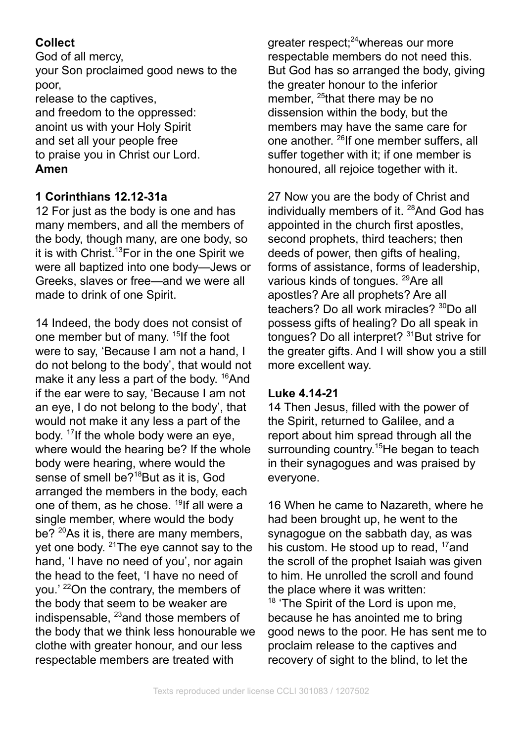## **Collect**

God of all mercy, your Son proclaimed good news to the poor, release to the captives, and freedom to the oppressed: anoint us with your Holy Spirit and set all your people free

to praise you in Christ our Lord. **Amen**

### **1 Corinthians 12.12-31a**

12 For just as the body is one and has many members, and all the members of the body, though many, are one body, so it is with Christ. <sup>13</sup>For in the one Spirit we were all baptized into one body—Jews or Greeks, slaves or free—and we were all made to drink of one Spirit.

14 Indeed, the body does not consist of one member but of many. 15 If the foot were to say, 'Because I am not a hand, I do not belong to the body', that would not make it any less a part of the body. <sup>16</sup>And if the ear were to say, 'Because I am not an eye, I do not belong to the body', that would not make it any less a part of the body. 17 If the whole body were an eye, where would the hearing be? If the whole body were hearing, where would the sense of smell be?<sup>18</sup>But as it is, God arranged the members in the body, each one of them, as he chose. 19 If all were a single member, where would the body be? <sup>20</sup>As it is, there are many members, yet one body. <sup>21</sup>The eye cannot say to the hand, 'I have no need of you', nor again the head to the feet, 'I have no need of you.' <sup>22</sup>On the contrary, the members of the body that seem to be weaker are indispensable, <sup>23</sup>and those members of the body that we think less honourable we clothe with greater honour, and our less respectable members are treated with

greater respect; <sup>24</sup>whereas our more respectable members do not need this. But God has so arranged the body, giving the greater honour to the inferior member, <sup>25</sup>that there may be no dissension within the body, but the members may have the same care for one another. <sup>26</sup>lf one member suffers, all suffer together with it; if one member is honoured, all rejoice together with it.

27 Now you are the body of Christ and individually members of it. <sup>28</sup>And God has appointed in the church first apostles, second prophets, third teachers; then deeds of power, then gifts of healing, forms of assistance, forms of leadership, various kinds of tongues. <sup>29</sup>Are all apostles? Are all prophets? Are all teachers? Do all work miracles? <sup>30</sup>Do all possess gifts of healing? Do all speak in tongues? Do all interpret? <sup>31</sup>But strive for the greater gifts. And I will show you a still more excellent way.

#### **Luke 4.14-21**

14 Then Jesus, filled with the power of the Spirit, returned to Galilee, and a report about him spread through all the surrounding country.<sup>15</sup>He began to teach in their synagogues and was praised by everyone.

16 When he came to Nazareth, where he had been brought up, he went to the synagogue on the sabbath day, as was his custom. He stood up to read, <sup>17</sup>and the scroll of the prophet Isaiah was given to him. He unrolled the scroll and found the place where it was written: <sup>18</sup> 'The Spirit of the Lord is upon me, because he has anointed me to bring good news to the poor. He has sent me to proclaim release to the captives and recovery of sight to the blind, to let the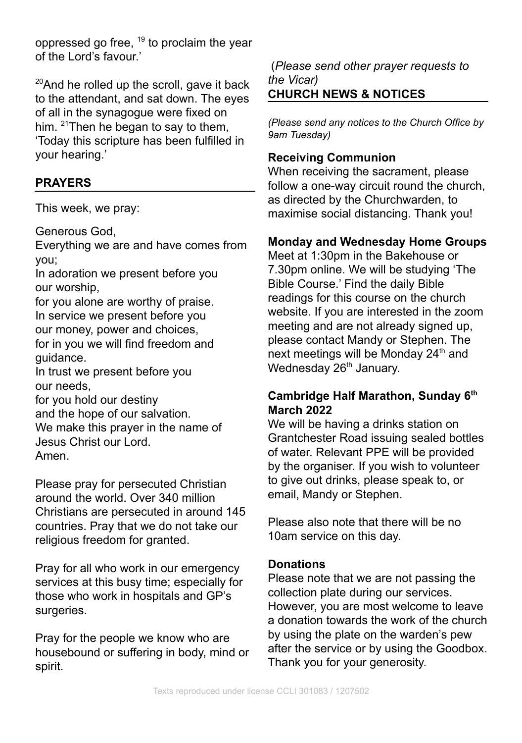oppressed go free, <sup>19</sup> to proclaim the year of the Lord's favour.'

<sup>20</sup>And he rolled up the scroll, gave it back to the attendant, and sat down. The eyes of all in the synagogue were fixed on him. <sup>21</sup>Then he began to say to them, 'Today this scripture has been fulfilled in your hearing.'

## **PRAYERS**

This week, we pray:

Generous God,

Everything we are and have comes from you;

In adoration we present before you our worship,

for you alone are worthy of praise. In service we present before you our money, power and choices, for in you we will find freedom and guidance.

In trust we present before you our needs,

for you hold our destiny

and the hope of our salvation. We make this prayer in the name of Jesus Christ our Lord. Amen.

Please pray for persecuted Christian around the world. Over 340 million Christians are persecuted in around 145 countries. Pray that we do not take our religious freedom for granted.

Pray for all who work in our emergency services at this busy time; especially for those who work in hospitals and GP's surgeries.

Pray for the people we know who are housebound or suffering in body, mind or spirit.

(*Please send other prayer requests to the Vicar)* **CHURCH NEWS & NOTICES**

*(Please send any notices to the Church Office by 9am Tuesday)*

## **Receiving Communion**

When receiving the sacrament, please follow a one-way circuit round the church, as directed by the Churchwarden, to maximise social distancing. Thank you!

## **Monday and Wednesday Home Groups**

Meet at 1:30pm in the Bakehouse or 7.30pm online. We will be studying 'The Bible Course.' Find the daily Bible readings for this course on the church website. If you are interested in the zoom meeting and are not already signed up, please contact Mandy or Stephen. The next meetings will be Monday 24<sup>th</sup> and Wednesday 26<sup>th</sup> January.

#### **Cambridge Half Marathon, Sunday 6 th March 2022**

We will be having a drinks station on Grantchester Road issuing sealed bottles of water. Relevant PPE will be provided by the organiser. If you wish to volunteer to give out drinks, please speak to, or email, Mandy or Stephen.

Please also note that there will be no 10am service on this day.

### **Donations**

Please note that we are not passing the collection plate during our services. However, you are most welcome to leave a donation towards the work of the church by using the plate on the warden's pew after the service or by using the Goodbox. Thank you for your generosity.